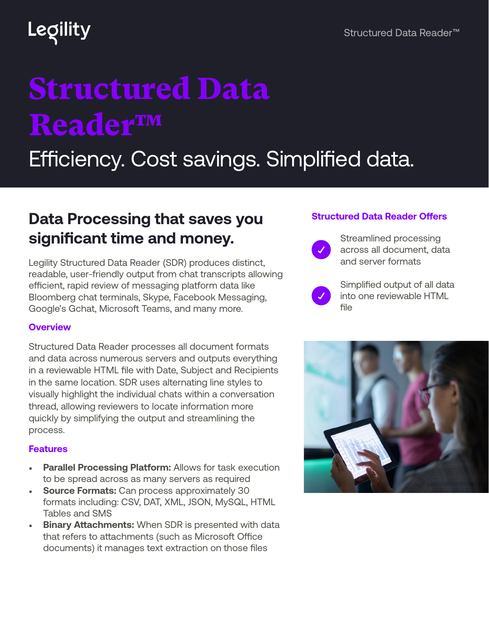## Legility

# Structured Data Reader™

Efficiency. Cost savings. Simplified data.

### **Data Processing that saves you significant time and money.**

Legility Structured Data Reader (SDR) produces distinct, readable, user-friendly output from chat transcripts allowing efficient, rapid review of messaging platform data like Bloomberg chat terminals, Skype, Facebook Messaging, Google's Gchat, Microsoft Teams, and many more.

#### **Overview**

Structured Data Reader processes all document formats and data across numerous servers and outputs everything in a reviewable HTML file with Date, Subject and Recipients in the same location. SDR uses alternating line styles to visually highlight the individual chats within a conversation thread, allowing reviewers to locate information more quickly by simplifying the output and streamlining the process.

#### **Features**

- **Parallel Processing Platform:** Allows for task execution to be spread across as many servers as required
- **Source Formats:** Can process approximately 30 formats including: CSV, DAT, XML, JSON, MySQL, HTML Tables and SMS
- **Binary Attachments:** When SDR is presented with data that refers to attachments (such as Microsoft Office documents) it manages text extraction on those files

### **Structured Data Reader Offers**



Simplified output of all data into one reviewable HTML file